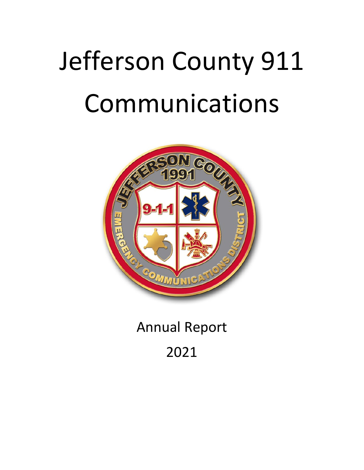# Jefferson County 911 Communications



# Annual Report

## 2021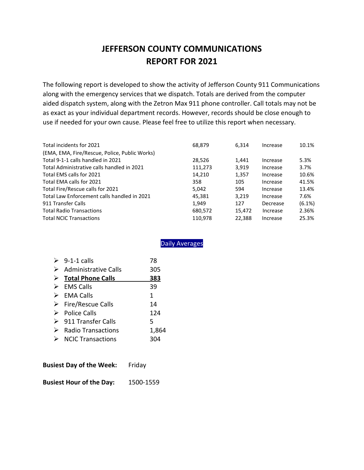## **JEFFERSON COUNTY COMMUNICATIONS REPORT FOR 2021**

The following report is developed to show the activity of Jefferson County 911 Communications along with the emergency services that we dispatch. Totals are derived from the computer aided dispatch system, along with the Zetron Max 911 phone controller. Call totals may not be as exact as your individual department records. However, records should be close enough to use if needed for your own cause. Please feel free to utilize this report when necessary.

| Total incidents for 2021                      | 68,879  | 6.314  | Increase | 10.1%     |
|-----------------------------------------------|---------|--------|----------|-----------|
| (EMA, EMA, Fire/Rescue, Police, Public Works) |         |        |          |           |
| Total 9-1-1 calls handled in 2021             | 28,526  | 1,441  | Increase | 5.3%      |
| Total Administrative calls handled in 2021    | 111,273 | 3.919  | Increase | 3.7%      |
| Total EMS calls for 2021                      | 14,210  | 1,357  | Increase | 10.6%     |
| Total EMA calls for 2021                      | 358     | 105    | Increase | 41.5%     |
| Total Fire/Rescue calls for 2021              | 5,042   | 594    | Increase | 13.4%     |
| Total Law Enforcement calls handled in 2021   | 45,381  | 3.219  | Increase | 7.6%      |
| 911 Transfer Calls                            | 1.949   | 127    | Decrease | $(6.1\%)$ |
| <b>Total Radio Transactions</b>               | 680,572 | 15.472 | Increase | 2.36%     |
| <b>Total NCIC Transactions</b>                | 110,978 | 22,388 | Increase | 25.3%     |

### Daily Averages

| ➤ | $9-1-1$ calls                      | 78    |
|---|------------------------------------|-------|
| ➤ | Administrative Calls               | 305   |
| ➤ | <b>Total Phone Calls</b>           | 383   |
|   | $\triangleright$ EMS Calls         | 39    |
|   | $\triangleright$ EMA Calls         | 1     |
|   | $\triangleright$ Fire/Rescue Calls | 14    |
|   | $\triangleright$ Police Calls      | 124   |
| ➤ | 911 Transfer Calls                 | 5     |
| ➤ | <b>Radio Transactions</b>          | 1,864 |
| ↘ | <b>NCIC Transactions</b>           |       |
|   |                                    |       |

| <b>Busiest Day of the Week:</b> | Friday    |
|---------------------------------|-----------|
| <b>Busiest Hour of the Day:</b> | 1500-1559 |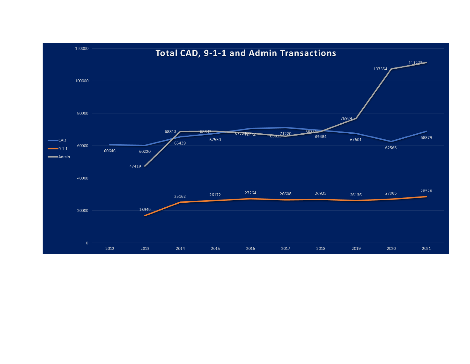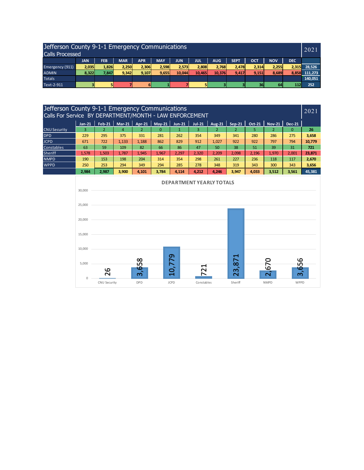| Jefferson County 9-1-1 Emergency Communications<br><b>Calls Processed</b> |            |            |            |       |            |        |            |               |             | 2021       |            |            |         |
|---------------------------------------------------------------------------|------------|------------|------------|-------|------------|--------|------------|---------------|-------------|------------|------------|------------|---------|
|                                                                           | <b>JAN</b> | <b>FEB</b> | <b>MAR</b> | APR   | <b>MAY</b> | JUN    | <b>JUL</b> | <b>AUG</b>    | <b>SEPT</b> | <b>OCT</b> | <b>NOV</b> | <b>DEC</b> |         |
| Emergency (911)                                                           | 2,035      | 1.826      | 2,250      | 2.306 | 2,598      | 2.573  | 2,808      | 2.768         | 2,478       | 2.314      | 2,255      | 2,315      | 28,526  |
| <b>ADMIN</b>                                                              | 8.322      | 7.847      | 9.342      | 9.107 | 9,655      | 10.044 | 10.465     | <b>10.376</b> | 9.417       | 9.151      | 8.689      | 8.858      | 111.273 |
| <b>Totals</b>                                                             |            |            |            |       |            |        |            |               |             |            |            |            | 140,051 |
| Text-2-911                                                                |            | 5          |            | 6     |            |        | 51         |               |             | 36         | 64         | 112        | 252     |

| Jefferson County 9-1-1 Emergency Communications<br>Calls For Service BY DEPARTMENT/MONTH - LAW ENFORCEMENT                                                                   |       |       |       |       |          |       |       |       |       |       | 2021  |       |        |
|------------------------------------------------------------------------------------------------------------------------------------------------------------------------------|-------|-------|-------|-------|----------|-------|-------|-------|-------|-------|-------|-------|--------|
| <b>Apr-21</b><br>$May-21$<br>$Jul-21$<br>Mar-21 $ $<br>$Jun-21$<br><b>Feb-21</b><br><b>Aug-21</b><br>$Jan-21$<br>$Sep-21$<br><b>Oct-21</b><br><b>Nov-21</b><br><b>Dec-21</b> |       |       |       |       |          |       |       |       |       |       |       |       |        |
| <b>CNU Security</b>                                                                                                                                                          | 3     |       | 4     |       | $\Omega$ |       |       |       |       |       |       | 0     | 26     |
| <b>DPD</b>                                                                                                                                                                   | 229   | 295   | 375   | 331   | 281      | 262   | 354   | 349   | 341   | 280   | 286   | 275   | 3,658  |
| <b>JCPD</b>                                                                                                                                                                  | 671   | 722   | 1.133 | 1,188 | 862      | 829   | 912   | 1,027 | 922   | 922   | 797   | 794   | 10,779 |
| Constables                                                                                                                                                                   | 63    | 59    | 109   | 82    | 66       | 86    | 47    | 50    | 38    | 51    | 39    | 31    | 721    |
| <b>Sheriff</b>                                                                                                                                                               | 1,578 | 1,503 | 1.787 | 1,945 | 1.967    | 2,297 | 2.320 | 2,209 | 2.098 | 2,196 | 1.970 | 2.001 | 23,871 |
| <b>NMPD</b>                                                                                                                                                                  | 190   | 153   | 198   | 204   | 314      | 354   | 298   | 261   | 227   | 236   | 118   | 117   | 2,670  |
| <b>WPPD</b>                                                                                                                                                                  | 250   | 253   | 294   | 349   | 294      | 285   | 278   | 348   | 319   | 343   | 300   | 343   | 3,656  |
|                                                                                                                                                                              | 2,984 | 2.987 | 3,900 | 4.101 | 3.784    | 4.114 | 4.212 | 4.246 | 3,947 | 4.033 | 3.512 | 3,561 | 45,381 |

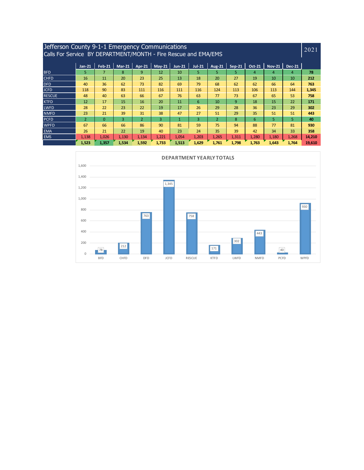| Jefferson County 9-1-1 Emergency Communications<br>Calls For Service BY DEPARTMENT/MONTH - Fire Rescue and EMA/EMS |                                                                                                                                                                          |                |       |                |                |              |       |                |       |       | 2021  |       |        |
|--------------------------------------------------------------------------------------------------------------------|--------------------------------------------------------------------------------------------------------------------------------------------------------------------------|----------------|-------|----------------|----------------|--------------|-------|----------------|-------|-------|-------|-------|--------|
|                                                                                                                    | $May-21$<br>$Jul-21$<br>Oct-21<br>$Mar-21$<br>$Jun-21$<br><b>Nov-21</b><br><b>Feb-21</b><br><b>Apr-21</b><br><b>Aug-21</b><br>$Sep-21$<br><b>Dec-21</b><br><b>Jan-21</b> |                |       |                |                |              |       |                |       |       |       |       |        |
| <b>BFD</b>                                                                                                         | 5                                                                                                                                                                        | $\overline{7}$ | 8     | 9              | 12             | 10           | 5     | 5.             | 5     | 4     | 4     | 4     | 78     |
| <b>CHFD</b>                                                                                                        | 16                                                                                                                                                                       | 11             | 20    | 23             | 25             | 13           | 18    | 20             | 27    | 19    | 10    | 10    | 212    |
| <b>DFD</b>                                                                                                         | 40                                                                                                                                                                       | 36             | 62    | 73             | 82             | 69           | 79    | 68             | 62    | 62    | 66    | 64    | 763    |
| <b>JCFD</b>                                                                                                        | 118                                                                                                                                                                      | 90             | 83    | 111            | 116            | 111          | 116   | 124            | 113   | 106   | 113   | 144   | 1,345  |
| <b>RESCUE</b>                                                                                                      | 48                                                                                                                                                                       | 40             | 63    | 66             | 67             | 76           | 63    | 77             | 73    | 67    | 65    | 53    | 758    |
| <b>KTFD</b>                                                                                                        | 12                                                                                                                                                                       | 17             | 15    | 16             | 20             | 11           | 6     | 10             | 9     | 18    | 15    | 22    | 171    |
| <b>LWFD</b>                                                                                                        | 28                                                                                                                                                                       | 22             | 23    | 22             | 19             | 17           | 26    | 29             | 28    | 36    | 23    | 29    | 302    |
| <b>NMFD</b>                                                                                                        | 23                                                                                                                                                                       | 21             | 39    | 31             | 38             | 47           | 27    | 51             | 29    | 35    | 51    | 51    | 443    |
| <b>PCFD</b>                                                                                                        | $\overline{2}$                                                                                                                                                           | $\Omega$       | 3     | $\overline{2}$ | $\overline{3}$ | $\mathbf{1}$ | 3     | $\overline{2}$ | 8     | 6     | 5.    | 5.    | 40     |
| <b>WPFD</b>                                                                                                        | 67                                                                                                                                                                       | 66             | 66    | 86             | 90             | 81           | 59    | 75             | 94    | 88    | 77    | 81    | 930    |
| <b>EMA</b>                                                                                                         | 26                                                                                                                                                                       | 21             | 22    | 19             | 40             | 23           | 24    | 35             | 39    | 42    | 34    | 33    | 358    |
| <b>EMS</b>                                                                                                         | 1,138                                                                                                                                                                    | 1,026          | 1,130 | 1,134          | 1,221          | 1,054        | 1,203 | 1,265          | 1,311 | 1,280 | 1,180 | 1,268 | 14.210 |
|                                                                                                                    | 1,523                                                                                                                                                                    | 1,357          | 1,534 | 1,592          | 1,733          | 1,513        | 1,629 | 1,761          | 1,798 | 1,763 | 1,643 | 1,764 | 19,610 |

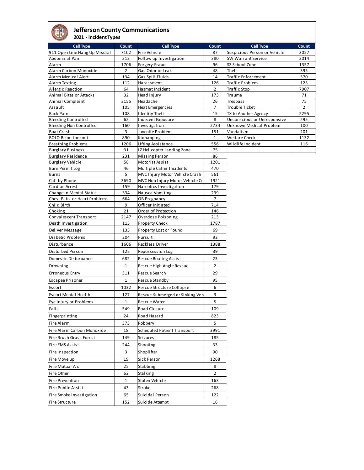#### **Jefferson County Communications 2021 - Incident Types**

| <b>Call Type</b>                        | Count          | <b>Call Type</b>                | Count               | <b>Call Type</b>             | Count          |
|-----------------------------------------|----------------|---------------------------------|---------------------|------------------------------|----------------|
| 911 Open Line Hang Up Misdial           | 7102           | Fire Vehicle                    | 87                  | Suspicious Person or Vehicle | 3057           |
| Abdominal Pain                          | 212            | Follow up Investigation         | 380                 | SW Warrant Service           | 2014           |
| Alarm                                   | 1706           | Forgery-Fraud                   | 96                  | SZ School Zone               | 1357           |
| Alarm Carbon Monoxide                   | $\overline{2}$ | Gas Odor or Leak                | 48                  | Theft                        | 395            |
| Alarm Medical Alert                     | 134            | Gas Spill Fluids                | 14                  | <b>Traffic Enforcement</b>   | 370            |
| Alarm Testing                           | 112            | Harassment                      | 126                 | Traffic Problem              | 123            |
| Allergic Reaction                       | 64             | Hazmat Incident                 | $\overline{2}$      | Traffic Stop                 | 7907           |
| Animal Bites or Attacks                 | 32             | Head Injury                     | 173                 | Trauma                       | 71             |
| Animal Complaint                        | 3155           | Headache                        | 26                  | Trespass                     | 75             |
| Assault                                 | 105            | Heat Emergencies                | $\overline{7}$      | Trouble Ticket               | $\overline{2}$ |
| Back Pain                               | 108            | <b>Identity Theft</b>           | 15                  | TX to Another Agency         | 2295           |
| <b>Bleeding Controlled</b>              | 62             | Indecent Exposure               | 8                   | Unconscious or Unresponsive  | 295            |
| <b>Bleeding Non Controlled</b>          | 160<br>3       | Investigation                   | 2734                | Unknown Medical Problem      | 100            |
| Boat Crash<br><b>BOLO Be on Lookout</b> | 890            | Juvenile Problem<br>Kidnapping  | 151<br>$\mathbf{1}$ | Vandalism<br>Welfare Check   | 201<br>1132    |
| <b>Breathing Problems</b>               | 1206           | Lifting Assistance              | 556                 | Wildlife Incident            | 116            |
| <b>Burglary Business</b>                | 31             | LZ Helicopter Landing Zone      | 75                  |                              |                |
| <b>Burglary Residence</b>               | 231            | Missing Person                  | 86                  |                              |                |
| Burglary Vehicle                        | 58             | Motorist Assist                 | 1201                |                              |                |
| Burn Permit Log                         | 46             | Multiple Caller Incidents       | 470                 |                              |                |
| Burns                                   | 5              | MVC Injury Motor Vehicle Crash  | 561                 |                              |                |
| Call by Phone                           | 3690           | MVC Non Injury Motor Vehicle Cr | 1921                |                              |                |
| Cardiac Arrest                          | 159            | Narcotics Investigation         | 179                 |                              |                |
| Change in Mental Status                 | 334            | Nausea Vomiting                 | 239                 |                              |                |
| Chest Pain or Heart Problems            | 664            | OB Pregnancy                    | $\overline{7}$      |                              |                |
| Child Birth                             | 9              | Officer Initiated               | 714                 |                              |                |
| Choking                                 | 21             | Order of Protection             | 146                 |                              |                |
| Convalescent Transport                  | 2147           | Overdose Poisoning              | 213                 |                              |                |
| Death Investigation                     | 115            | <b>Property Check</b>           | 1787                |                              |                |
| Deliver Message                         | 135            | Property Lost or Found          | 69                  |                              |                |
| Diabetic Problems                       | 204            | Pursuit                         | 92                  |                              |                |
| Disturbance                             | 1606           | Reckless Driver                 | 1388                |                              |                |
| Disturbed Person                        | 122            | Repossession Log                | 39                  |                              |                |
| Domestic Disturbance                    | 682            | Rescue Boating Assist           | 23                  |                              |                |
| Drowning                                | 1              | Rescue High Angle Rescue        | $\overline{2}$      |                              |                |
| <b>Erroneous Entry</b>                  | 311            | Rescue Search                   | 29                  |                              |                |
| <b>Escapee Prisoner</b>                 | 1              | Rescue Standby                  | 95                  |                              |                |
| Escort                                  | 1032           | Rescue Structure Collapse       | 6                   |                              |                |
|                                         |                |                                 |                     |                              |                |
| <b>Escort Mental Health</b>             | 127            | Rescue Submerged or Sinking Veh | 3                   |                              |                |
| Eye Injury or Problems                  | 1              | Rescue Water                    | 5                   |                              |                |
| Falls                                   | 549            | Road Closure                    | 109                 |                              |                |
| Fingerprinting                          | 24             | Road Hazard                     | 823                 |                              |                |
| Fire Alarm                              | 373            | Robbery                         | 5                   |                              |                |
| Fire Alarm Carbon Monoxide              | 18             | Scheduled Patient Transport     | 3991                |                              |                |
| Fire Brush Grass Forest                 | 149            | Seizures                        | 185                 |                              |                |
| Fire EMS Assist                         | 244            | Shooting                        | 33                  |                              |                |
| Fire Inspection                         |                |                                 | 90                  |                              |                |
|                                         | 3              | Shoplifter                      |                     |                              |                |
| Fire Move up                            | 19             | Sick Person                     | 1268                |                              |                |
| Fire Mutual Aid                         | 25             | Stabbing                        | 8                   |                              |                |
| Fire Other                              | 62             | Stalking                        | $\overline{2}$      |                              |                |
| Fire Prevention                         | 1              | Stolen Vehicle                  | 163                 |                              |                |
| Fire Public Assist                      | 43             | Stroke                          | 268                 |                              |                |
| Fire Smoke Investigation                | 65             | Suicidal Person                 | 122                 |                              |                |
| Fire Structure                          | 152            | Suicide Attempt                 | 16                  |                              |                |
|                                         |                |                                 |                     |                              |                |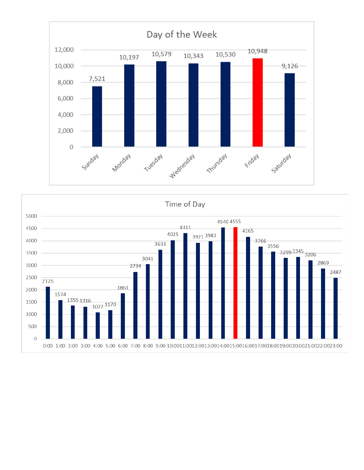

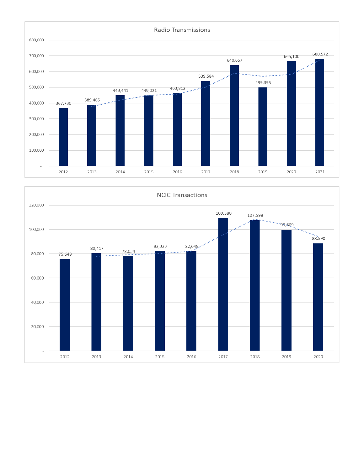

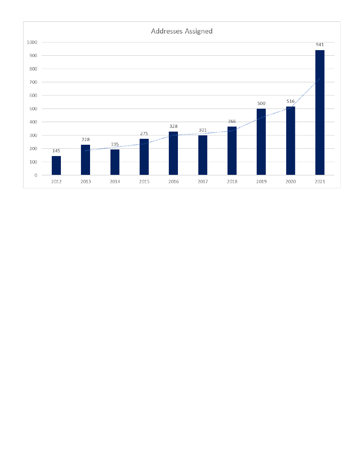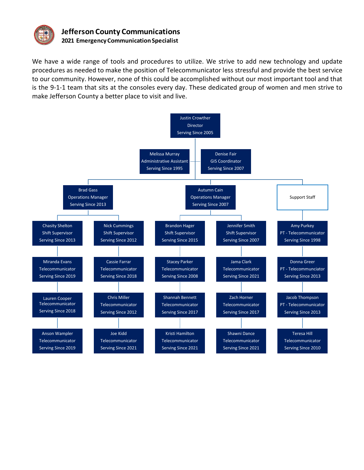

We have a wide range of tools and procedures to utilize. We strive to add new technology and update procedures as needed to make the position of Telecommunicator less stressful and provide the best service to our community. However, none of this could be accomplished without our most important tool and that is the 9-1-1 team that sits at the consoles every day. These dedicated group of women and men strive to make Jefferson County a better place to visit and live.